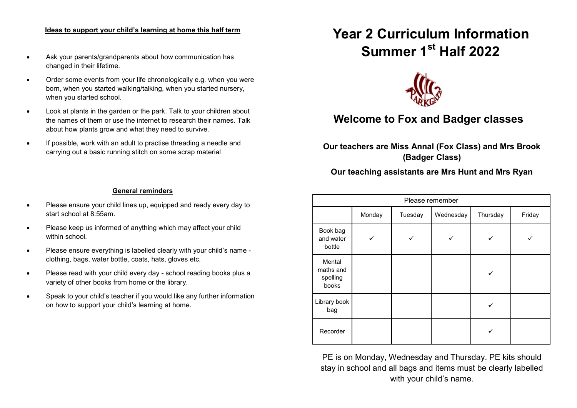#### **Ideas to support your child's learning at home this half term**

- Ask your parents/grandparents about how communication has changed in their lifetime.
- Order some events from your life chronologically e.g. when you were born, when you started walking/talking, when you started nursery, when you started school.
- Look at plants in the garden or the park. Talk to your children about the names of them or use the internet to research their names. Talk about how plants grow and what they need to survive.
- If possible, work with an adult to practise threading a needle and carrying out a basic running stitch on some scrap material

# **Year 2 Curriculum Information Summer 1st Half 2022**



# **Welcome to Fox and Badger classes**

**Our teachers are Miss Annal (Fox Class) and Mrs Brook (Badger Class)**

# **Our teaching assistants are Mrs Hunt and Mrs Ryan**

| Please remember                          |        |         |           |          |        |
|------------------------------------------|--------|---------|-----------|----------|--------|
|                                          | Monday | Tuesday | Wednesday | Thursday | Friday |
| Book bag<br>and water<br>bottle          |        |         |           |          |        |
| Mental<br>maths and<br>spelling<br>books |        |         |           |          |        |
| Library book<br>bag                      |        |         |           |          |        |
| Recorder                                 |        |         |           |          |        |

PE is on Monday, Wednesday and Thursday. PE kits should stay in school and all bags and items must be clearly labelled with your child's name.

#### **General reminders**

- Please ensure your child lines up, equipped and ready every day to start school at 8:55am.
- Please keep us informed of anything which may affect your child within school
- Please ensure everything is labelled clearly with your child's name clothing, bags, water bottle, coats, hats, gloves etc.
- Please read with your child every day school reading books plus a variety of other books from home or the library.
- Speak to your child's teacher if you would like any further information on how to support your child's learning at home.